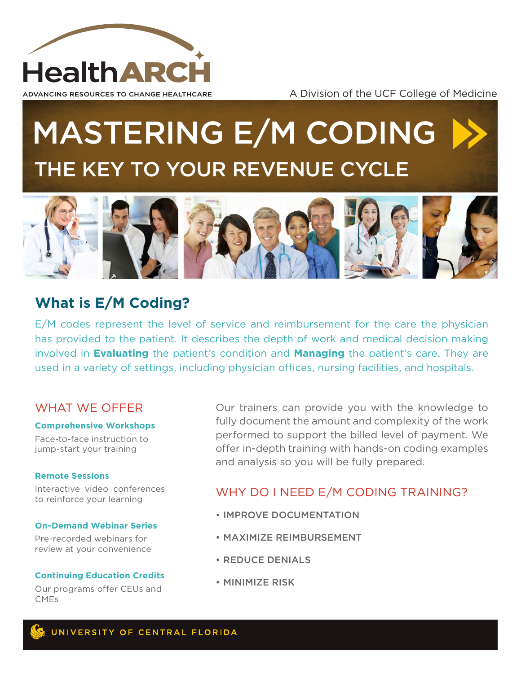

A Division of the UCF College of Medicine

# MASTERING E/M CODING THE KEY TO YOUR REVENUE CYCLE



# **What is E/M Coding?**

E/M codes represent the level of service and reimbursement for the care the physician has provided to the patient. It describes the depth of work and medical decision making involved in **Evaluating** the patient's condition and **Managing** the patient's care. They are used in a variety of settings, including physician offices, nursing facilities, and hospitals.

## WHAT WF OFFFR

### **Comprehensive Workshops**

Face-to-face instruction to jump-start your training

### **Remote Sessions**

Interactive video conferences to reinforce your learning

### **On-Demand Webinar Series**

Pre-recorded webinars for review at your convenience

### **Continuing Education Credits**

Our programs offer CEUs and CMEs

Our trainers can provide you with the knowledge to fully document the amount and complexity of the work performed to support the billed level of payment. We offer in-depth training with hands-on coding examples and analysis so you will be fully prepared.

# WHY DO I NEED E/M CODING TRAINING?

- IMPROVE DOCUMENTATION
- MAXIMIZE REIMBURSEMENT
- REDUCE DENIALS
- MINIMIZE RISK